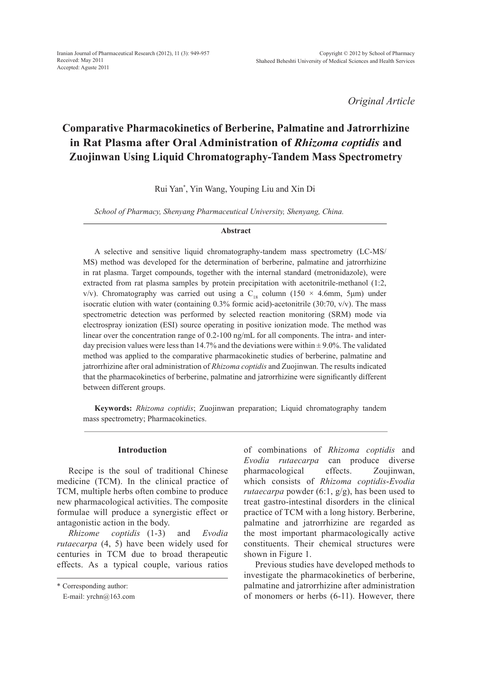*Original Article*

# **Comparative Pharmacokinetics of Berberine, Palmatine and Jatrorrhizine in Rat Plasma after Oral Administration of** *Rhizoma coptidis* **and Zuojinwan Using Liquid Chromatography-Tandem Mass Spectrometry**

Rui Yan\* , Yin Wang, Youping Liu and Xin Di

*School of Pharmacy, Shenyang Pharmaceutical University, Shenyang, China.*

#### **Abstract**

A selective and sensitive liquid chromatography-tandem mass spectrometry (LC-MS/ MS) method was developed for the determination of berberine, palmatine and jatrorrhizine in rat plasma. Target compounds, together with the internal standard (metronidazole), were extracted from rat plasma samples by protein precipitation with acetonitrile-methanol (1:2, v/v). Chromatography was carried out using a C<sub>18</sub> column (150 × 4.6mm, 5µm) under isocratic elution with water (containing 0.3% formic acid)-acetonitrile (30:70, v/v). The mass spectrometric detection was performed by selected reaction monitoring (SRM) mode via electrospray ionization (ESI) source operating in positive ionization mode. The method was linear over the concentration range of 0.2-100 ng/mL for all components. The intra- and interday precision values were less than 14.7% and the deviations were within  $\pm$  9.0%. The validated method was applied to the comparative pharmacokinetic studies of berberine, palmatine and jatrorrhizine after oral administration of *Rhizoma coptidis* and Zuojinwan. The results indicated that the pharmacokinetics of berberine, palmatine and jatrorrhizine were significantly different between different groups.

**Keywords:** *Rhizoma coptidis*; Zuojinwan preparation; Liquid chromatography tandem mass spectrometry; Pharmacokinetics.

### **Introduction**

Recipe is the soul of traditional Chinese medicine (TCM). In the clinical practice of TCM, multiple herbs often combine to produce new pharmacological activities. The composite formulae will produce a synergistic effect or antagonistic action in the body.

*Rhizome coptidis* (1-3) and *Evodia rutaecarpa* (4, 5) have been widely used for centuries in TCM due to broad therapeutic effects. As a typical couple, various ratios of combinations of *Rhizoma coptidis* and *Evodia rutaecarpa* can produce diverse pharmacological effects. Zoujinwan, which consists of *Rhizoma coptidis*-*Evodia rutaecarpa* powder (6:1, g/g), has been used to treat gastro-intestinal disorders in the clinical practice of TCM with a long history. Berberine, palmatine and jatrorrhizine are regarded as the most important pharmacologically active constituents. Their chemical structures were shown in Figure 1.

Previous studies have developed methods to investigate the pharmacokinetics of berberine, palmatine and jatrorrhizine after administration of monomers or herbs (6-11). However, there

<sup>\*</sup> Corresponding author:

E-mail: yrchn@163.com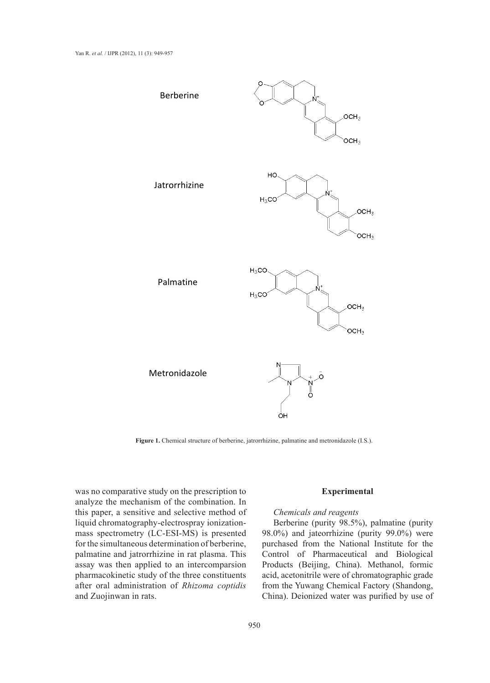

**Figure 1.** Chemical structure of berberine, jatrorrhizine, palmatine and metronidazole (I.S.).

was no comparative study on the prescription to analyze the mechanism of the combination. In this paper, a sensitive and selective method of liquid chromatography-electrospray ionizationmass spectrometry (LC-ESI-MS) is presented for the simultaneous determination of berberine, palmatine and jatrorrhizine in rat plasma. This assay was then applied to an intercomparsion pharmacokinetic study of the three constituents after oral administration of *Rhizoma coptidis* and Zuojinwan in rats.

#### **Experimental**

# *Chemicals and reagents*

Berberine (purity 98.5%), palmatine (purity 98.0%) and jateorrhizine (purity 99.0%) were purchased from the National Institute for the Control of Pharmaceutical and Biological Products (Beijing, China). Methanol, formic acid, acetonitrile were of chromatographic grade from the Yuwang Chemical Factory (Shandong, China). Deionized water was purified by use of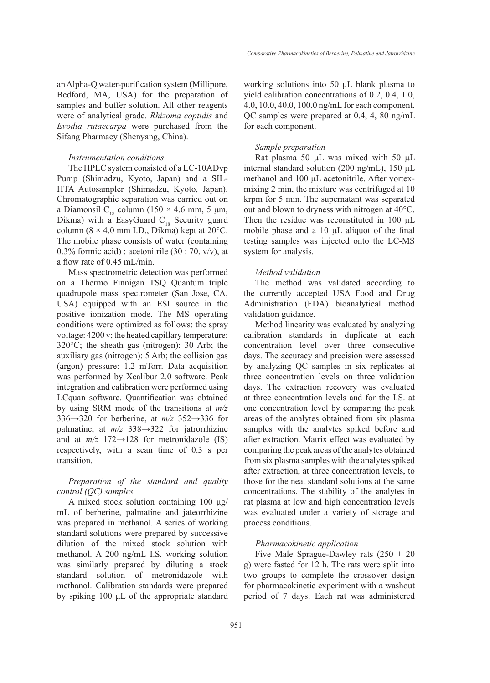an Alpha-Q water-purification system (Millipore, Bedford, MA, USA) for the preparation of samples and buffer solution. All other reagents were of analytical grade. *Rhizoma coptidis* and *Evodia rutaecarpa* were purchased from the Sifang Pharmacy (Shenyang, China).

## *Instrumentation conditions*

The HPLC system consisted of a LC-10ADvp Pump (Shimadzu, Kyoto, Japan) and a SIL-HTA Autosampler (Shimadzu, Kyoto, Japan). Chromatographic separation was carried out on a Diamonsil C<sub>18</sub> column (150 × 4.6 mm, 5 µm, Dikma) with a EasyGuard  $C_{18}$  Security guard column ( $8 \times 4.0$  mm I.D., Dikma) kept at 20 $^{\circ}$ C. The mobile phase consists of water (containing 0.3% formic acid) : acetonitrile  $(30:70, v/v)$ , at a flow rate of 0.45 mL/min.

Mass spectrometric detection was performed on a Thermo Finnigan TSQ Quantum triple quadrupole mass spectrometer (San Jose, CA, USA) equipped with an ESI source in the positive ionization mode. The MS operating conditions were optimized as follows: the spray voltage: 4200 v; the heated capillary temperature: 320°C; the sheath gas (nitrogen): 30 Arb; the auxiliary gas (nitrogen): 5 Arb; the collision gas (argon) pressure: 1.2 mTorr. Data acquisition was performed by Xcalibur 2.0 software. Peak integration and calibration were performed using LCquan software. Quantification was obtained by using SRM mode of the transitions at *m/z*  336→320 for berberine, at *m/z* 352→336 for palmatine, at *m/z* 338→322 for jatrorrhizine and at  $m/z$  172 $\rightarrow$ 128 for metronidazole (IS) respectively, with a scan time of 0.3 s per transition.

# *Preparation of the standard and quality control (QC) samples*

A mixed stock solution containing 100 μg/ mL of berberine, palmatine and jateorrhizine was prepared in methanol. A series of working standard solutions were prepared by successive dilution of the mixed stock solution with methanol. A 200 ng/mL I.S. working solution was similarly prepared by diluting a stock standard solution of metronidazole with methanol. Calibration standards were prepared by spiking 100 μL of the appropriate standard working solutions into 50 μL blank plasma to yield calibration concentrations of 0.2, 0.4, 1.0, 4.0, 10.0, 40.0, 100.0 ng/mL for each component. QC samples were prepared at 0.4, 4, 80 ng/mL for each component.

# *Sample preparation*

Rat plasma 50 μL was mixed with 50 μL internal standard solution (200 ng/mL), 150 μL methanol and 100 μL acetonitrile. After vortexmixing 2 min, the mixture was centrifuged at 10 krpm for 5 min. The supernatant was separated out and blown to dryness with nitrogen at 40°C. Then the residue was reconstituted in 100 μL mobile phase and a 10 μL aliquot of the final testing samples was injected onto the LC-MS system for analysis.

# *Method validation*

The method was validated according to the currently accepted USA Food and Drug Administration (FDA) bioanalytical method validation guidance.

Method linearity was evaluated by analyzing calibration standards in duplicate at each concentration level over three consecutive days. The accuracy and precision were assessed by analyzing QC samples in six replicates at three concentration levels on three validation days. The extraction recovery was evaluated at three concentration levels and for the I.S. at one concentration level by comparing the peak areas of the analytes obtained from six plasma samples with the analytes spiked before and after extraction. Matrix effect was evaluated by comparing the peak areas of the analytes obtained from six plasma samples with the analytes spiked after extraction, at three concentration levels, to those for the neat standard solutions at the same concentrations. The stability of the analytes in rat plasma at low and high concentration levels was evaluated under a variety of storage and process conditions.

# *Pharmacokinetic application*

Five Male Sprague-Dawley rats  $(250 \pm 20)$ g) were fasted for 12 h. The rats were split into two groups to complete the crossover design for pharmacokinetic experiment with a washout period of 7 days. Each rat was administered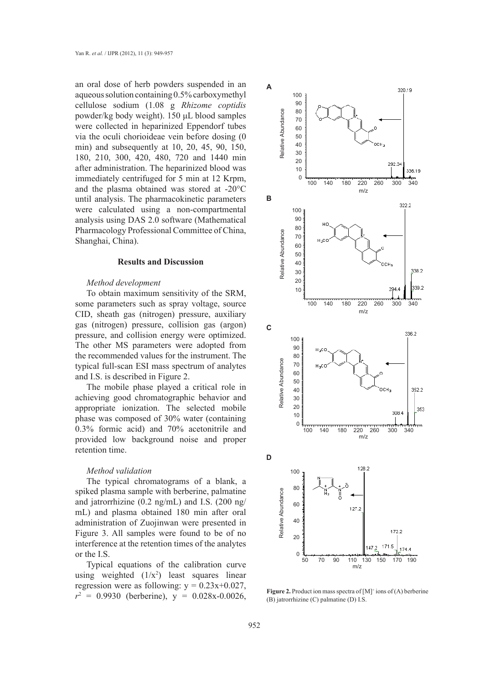an oral dose of herb powders suspended in an aqueous solution containing 0.5% carboxymethyl cellulose sodium (1.08 g *Rhizome coptidis* powder/kg body weight). 150 μL blood samples were collected in heparinized Eppendorf tubes via the oculi chorioideae vein before dosing (0 min) and subsequently at 10, 20, 45, 90, 150, 180, 210, 300, 420, 480, 720 and 1440 min after administration. The heparinized blood was immediately centrifuged for 5 min at 12 Krpm, and the plasma obtained was stored at -20°C until analysis. The pharmacokinetic parameters were calculated using a non-compartmental analysis using DAS 2.0 software (Mathematical Pharmacology Professional Committee of China, Shanghai, China).

#### **Results and Discussion**

## *Method development*

To obtain maximum sensitivity of the SRM, some parameters such as spray voltage, source CID, sheath gas (nitrogen) pressure, auxiliary gas (nitrogen) pressure, collision gas (argon) pressure, and collision energy were optimized. The other MS parameters were adopted from the recommended values for the instrument. The typical full-scan ESI mass spectrum of analytes and I.S. is described in Figure 2.

The mobile phase played a critical role in achieving good chromatographic behavior and appropriate ionization. The selected mobile phase was composed of 30% water (containing 0.3% formic acid) and 70% acetonitrile and provided low background noise and proper retention time.

#### *Method validation*

The typical chromatograms of a blank, a spiked plasma sample with berberine, palmatine and jatrorrhizine (0.2 ng/mL) and I.S. (200 ng/ mL) and plasma obtained 180 min after oral administration of Zuojinwan were presented in Figure 3. All samples were found to be of no interference at the retention times of the analytes or the I.S.

Typical equations of the calibration curve using weighted  $(1/x^2)$  least squares linear regression were as following:  $y = 0.23x+0.027$ ,  $r^2 = 0.9930$  (berberine),  $y = 0.028x - 0.0026$ ,



**Figure 2.** Product ion mass spectra of  $[M]^+$  ions of  $(A)$  berberine (B) jatrorrhizine (C) palmatine (D) I.S.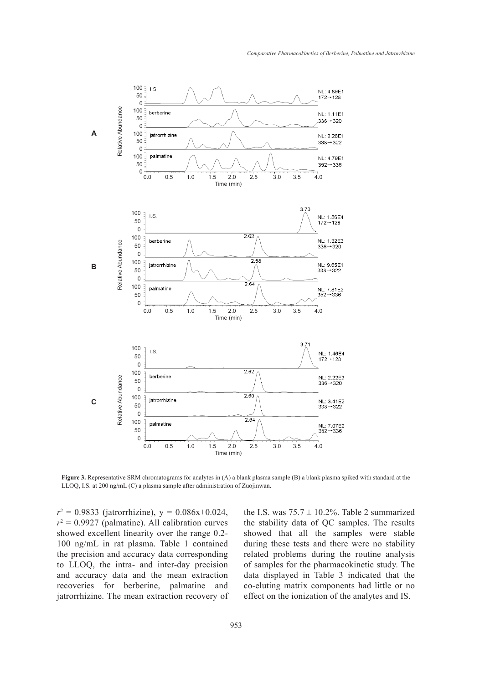

**Figure 3.** Representative SRM chromatograms for analytes in (A) a blank plasma sample (B) a blank plasma spiked with standard at the LLOQ, I.S. at 200 ng/mL (C) a plasma sample after administration of Zuojinwan.

 $r^2 = 0.9833$  (jatrorrhizine),  $y = 0.086x+0.024$ ,  $r^2 = 0.9927$  (palmatine). All calibration curves showed excellent linearity over the range 0.2- 100 ng/mL in rat plasma. Table 1 contained the precision and accuracy data corresponding to LLOQ, the intra- and inter-day precision and accuracy data and the mean extraction recoveries for berberine, palmatine and jatrorrhizine. The mean extraction recovery of

the I.S. was  $75.7 \pm 10.2\%$ . Table 2 summarized the stability data of QC samples. The results showed that all the samples were stable during these tests and there were no stability related problems during the routine analysis of samples for the pharmacokinetic study. The data displayed in Table 3 indicated that the co-eluting matrix components had little or no effect on the ionization of the analytes and IS.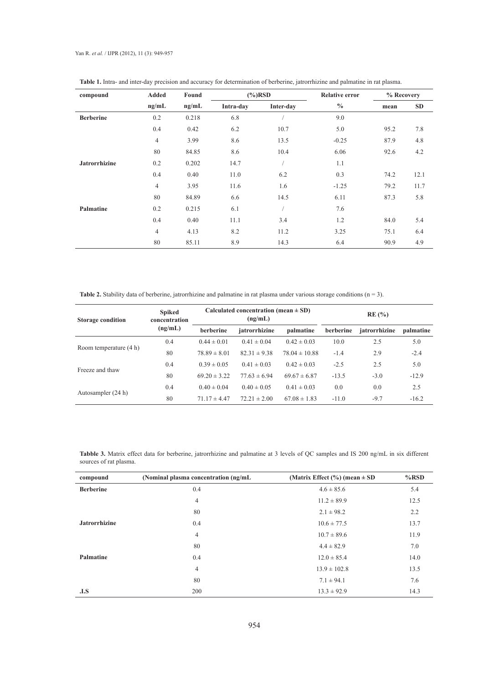Yan R. *et al.* / IJPR (2012), 11 (3): 949-957

| compound             | <b>Added</b>   | Found | $(\%)$ RSD |           | <b>Relative error</b> | % Recovery |           |
|----------------------|----------------|-------|------------|-----------|-----------------------|------------|-----------|
|                      | ng/mL          | ng/mL | Intra-day  | Inter-day | $\frac{0}{0}$         | mean       | <b>SD</b> |
| <b>Berberine</b>     | 0.2            | 0.218 | 6.8        |           | 9.0                   |            |           |
|                      | 0.4            | 0.42  | 6.2        | 10.7      | 5.0                   | 95.2       | 7.8       |
|                      | $\overline{4}$ | 3.99  | 8.6        | 13.5      | $-0.25$               | 87.9       | 4.8       |
|                      | 80             | 84.85 | 8.6        | 10.4      | 6.06                  | 92.6       | 4.2       |
| <b>Jatrorrhizine</b> | 0.2            | 0.202 | 14.7       |           | 1.1                   |            |           |
|                      | 0.4            | 0.40  | 11.0       | 6.2       | 0.3                   | 74.2       | 12.1      |
|                      | $\overline{4}$ | 3.95  | 11.6       | 1.6       | $-1.25$               | 79.2       | 11.7      |
|                      | 80             | 84.89 | 6.6        | 14.5      | 6.11                  | 87.3       | 5.8       |
| Palmatine            | 0.2            | 0.215 | 6.1        |           | 7.6                   |            |           |
|                      | 0.4            | 0.40  | 11.1       | 3.4       | 1.2                   | 84.0       | 5.4       |
|                      | $\overline{4}$ | 4.13  | 8.2        | 11.2      | 3.25                  | 75.1       | 6.4       |
|                      | 80             | 85.11 | 8.9        | 14.3      | 6.4                   | 90.9       | 4.9       |

**Table 1.** Intra- and inter-day precision and accuracy for determination of berberine, jatrorrhizine and palmatine in rat plasma.

Table 2. Stability data of berberine, jatrorrhizine and palmatine in rat plasma under various storage conditions (n = 3).

| <b>Storage condition</b> | <b>Spiked</b><br>concentration |                  | Calculated concentration (mean $\pm$ SD)<br>(ng/mL) |                   | RE(%)     |               |           |
|--------------------------|--------------------------------|------------------|-----------------------------------------------------|-------------------|-----------|---------------|-----------|
|                          | (ng/mL)                        | berberine        | jatrorrhizine                                       | palmatine         | berberine | jatrorrhizine | palmatine |
|                          | 0.4                            | $0.44 \pm 0.01$  | $0.41 \pm 0.04$                                     | $0.42 \pm 0.03$   | 10.0      | 2.5           | 5.0       |
| Room temperature (4 h)   | 80                             | $78.89 \pm 8.01$ | $82.31 \pm 9.38$                                    | $78.04 \pm 10.88$ | $-1.4$    | 2.9           | $-2.4$    |
| Freeze and thaw          | 0.4                            | $0.39 \pm 0.05$  | $0.41 \pm 0.03$                                     | $0.42 \pm 0.03$   | $-2.5$    | 2.5           | 5.0       |
|                          | 80                             | $69.20 \pm 3.22$ | $77.63 \pm 6.94$                                    | $69.67 \pm 6.87$  | $-13.5$   | $-3.0$        | $-12.9$   |
|                          | 0.4                            | $0.40 \pm 0.04$  | $0.40 \pm 0.05$                                     | $0.41 \pm 0.03$   | 0.0       | 0.0           | 2.5       |
| Autosampler (24 h)       | 80                             | $71.17 \pm 4.47$ | $72.21 \pm 2.00$                                    | $67.08 \pm 1.83$  | $-11.0$   | $-9.7$        | $-16.2$   |

**Tabble 3.** Matrix effect data for berberine, jatrorrhizine and palmatine at 3 levels of QC samples and IS 200 ng/mL in six different sources of rat plasma.

| compound             | (Nominal plasma concentration (ng/mL) | (Matrix Effect $(\% )$ (mean $\pm$ SD | $%$ RSD |
|----------------------|---------------------------------------|---------------------------------------|---------|
| <b>Berberine</b>     | 0.4                                   | $4.6 \pm 85.6$                        | 5.4     |
|                      | 4                                     | $11.2 \pm 89.9$                       | 12.5    |
|                      | 80                                    | $2.1 \pm 98.2$                        | 2.2     |
| <b>Jatrorrhizine</b> | 0.4                                   | $10.6 \pm 77.5$                       | 13.7    |
|                      | 4                                     | $10.7 \pm 89.6$                       | 11.9    |
|                      | 80                                    | $4.4 \pm 82.9$                        | 7.0     |
| Palmatine            | 0.4                                   | $12.0 \pm 85.4$                       | 14.0    |
|                      | 4                                     | $13.9 \pm 102.8$                      | 13.5    |
|                      | 80                                    | $7.1 \pm 94.1$                        | 7.6     |
| .1. S                | 200                                   | $13.3 \pm 92.9$                       | 14.3    |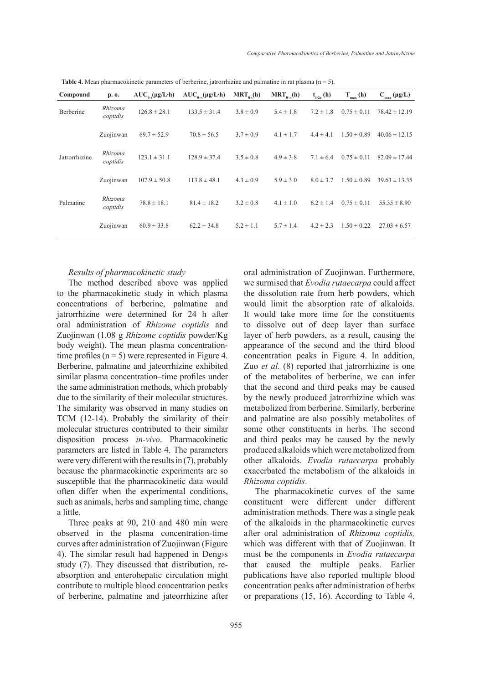| Compound      | p. o.               | $AUC_{0}$ .(µg/L·h) | $AUC_{0,\infty}(\mu g/L \cdot h)$ | $MRT_{a}$ (h) | $MRT_{0.00}(h)$ | $t_{1/2z}$ (h) | $T_{max}(h)$    | $C_{max}(\mu g/L)$ |
|---------------|---------------------|---------------------|-----------------------------------|---------------|-----------------|----------------|-----------------|--------------------|
| Berberine     | Rhizoma<br>coptidis | $126.8 \pm 28.1$    | $133.5 \pm 31.4$                  | $3.8 \pm 0.9$ | $5.4 \pm 1.8$   | $7.2 \pm 1.8$  | $0.75 \pm 0.11$ | $78.42 \pm 12.19$  |
|               | Zuojinwan           | $69.7 \pm 52.9$     | $70.8 \pm 56.5$                   | $3.7 \pm 0.9$ | $4.1 \pm 1.7$   | $4.4 \pm 4.1$  | $1.50 \pm 0.89$ | $40.06 \pm 12.15$  |
| Jatrorrhizine | Rhizoma<br>coptidis | $123.1 \pm 31.1$    | $128.9 \pm 37.4$                  | $3.5 \pm 0.8$ | $4.9 \pm 3.8$   | $7.1 \pm 6.4$  | $0.75 \pm 0.11$ | $82.09 \pm 17.44$  |
|               | Zuojinwan           | $107.9 \pm 50.8$    | $113.8 \pm 48.1$                  | $4.3 \pm 0.9$ | $5.9 \pm 3.0$   | $8.0 \pm 3.7$  | $1.50 \pm 0.89$ | $39.63 \pm 13.35$  |
| Palmatine     | Rhizoma<br>coptidis | $78.8 \pm 18.1$     | $81.4 \pm 18.2$                   | $3.2 \pm 0.8$ | $4.1 \pm 1.0$   | $6.2 \pm 1.4$  | $0.75 \pm 0.11$ | $55.35 \pm 8.90$   |
|               | Zuojinwan           | $60.9 \pm 33.8$     | $62.2 \pm 34.8$                   | $5.2 \pm 1.1$ | $5.7 \pm 1.4$   | $4.2 \pm 2.3$  | $1.50 \pm 0.22$ | $27.03 \pm 6.57$   |

**Table 4.** Mean pharmacokinetic parameters of berberine, jatrorrhizine and palmatine in rat plasma  $(n = 5)$ .

### *Results of pharmacokinetic study*

The method described above was applied to the pharmacokinetic study in which plasma concentrations of berberine, palmatine and jatrorrhizine were determined for 24 h after oral administration of *Rhizome coptidis* and Zuojinwan (1.08 g *Rhizome coptidis* powder/Kg body weight). The mean plasma concentrationtime profiles  $(n = 5)$  were represented in Figure 4. Berberine, palmatine and jateorrhizine exhibited similar plasma concentration–time profiles under the same administration methods, which probably due to the similarity of their molecular structures. The similarity was observed in many studies on TCM (12-14). Probably the similarity of their molecular structures contributed to their similar disposition process *in-vivo*. Pharmacokinetic parameters are listed in Table 4. The parameters were very different with the results in (7), probably because the pharmacokinetic experiments are so susceptible that the pharmacokinetic data would often differ when the experimental conditions, such as animals, herbs and sampling time, change a little.

Three peaks at 90, 210 and 480 min were observed in the plasma concentration-time curves after administration of Zuojinwan (Figure 4). The similar result had happened in Deng›s study (7). They discussed that distribution, reabsorption and enterohepatic circulation might contribute to multiple blood concentration peaks of berberine, palmatine and jateorrhizine after oral administration of Zuojinwan. Furthermore, we surmised that *Evodia rutaecarpa* could affect the dissolution rate from herb powders, which would limit the absorption rate of alkaloids. It would take more time for the constituents to dissolve out of deep layer than surface layer of herb powders, as a result, causing the appearance of the second and the third blood concentration peaks in Figure 4. In addition, Zuo *et al.* (8) reported that jatrorrhizine is one of the metabolites of berberine, we can infer that the second and third peaks may be caused by the newly produced jatrorrhizine which was metabolized from berberine. Similarly, berberine and palmatine are also possibly metabolites of some other constituents in herbs. The second and third peaks may be caused by the newly produced alkaloids which were metabolized from other alkaloids. *Evodia rutaecarpa* probably exacerbated the metabolism of the alkaloids in *Rhizoma coptidis*.

The pharmacokinetic curves of the same constituent were different under different administration methods. There was a single peak of the alkaloids in the pharmacokinetic curves after oral administration of *Rhizoma coptidis,*  which was different with that of Zuojinwan. It must be the components in *Evodia rutaecarpa* that caused the multiple peaks. Earlier publications have also reported multiple blood concentration peaks after administration of herbs or preparations (15, 16). According to Table 4,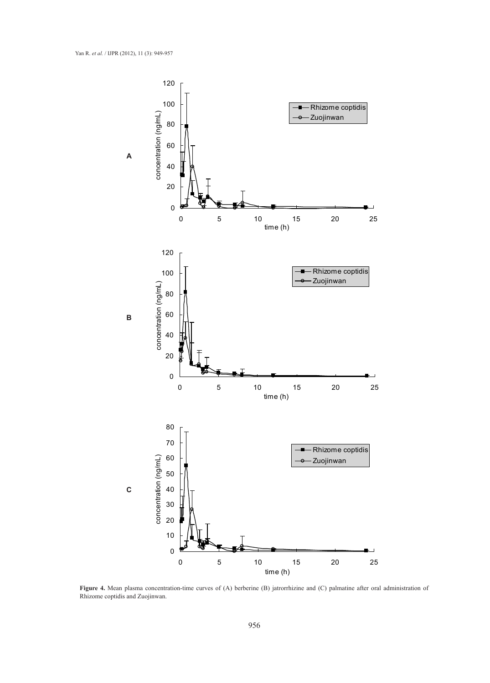

**Figure 4.** Mean plasma concentration-time curves of (A) berberine (B) jatrorrhizine and (C) palmatine after oral administration of Rhizome coptidis and Zuojinwan.